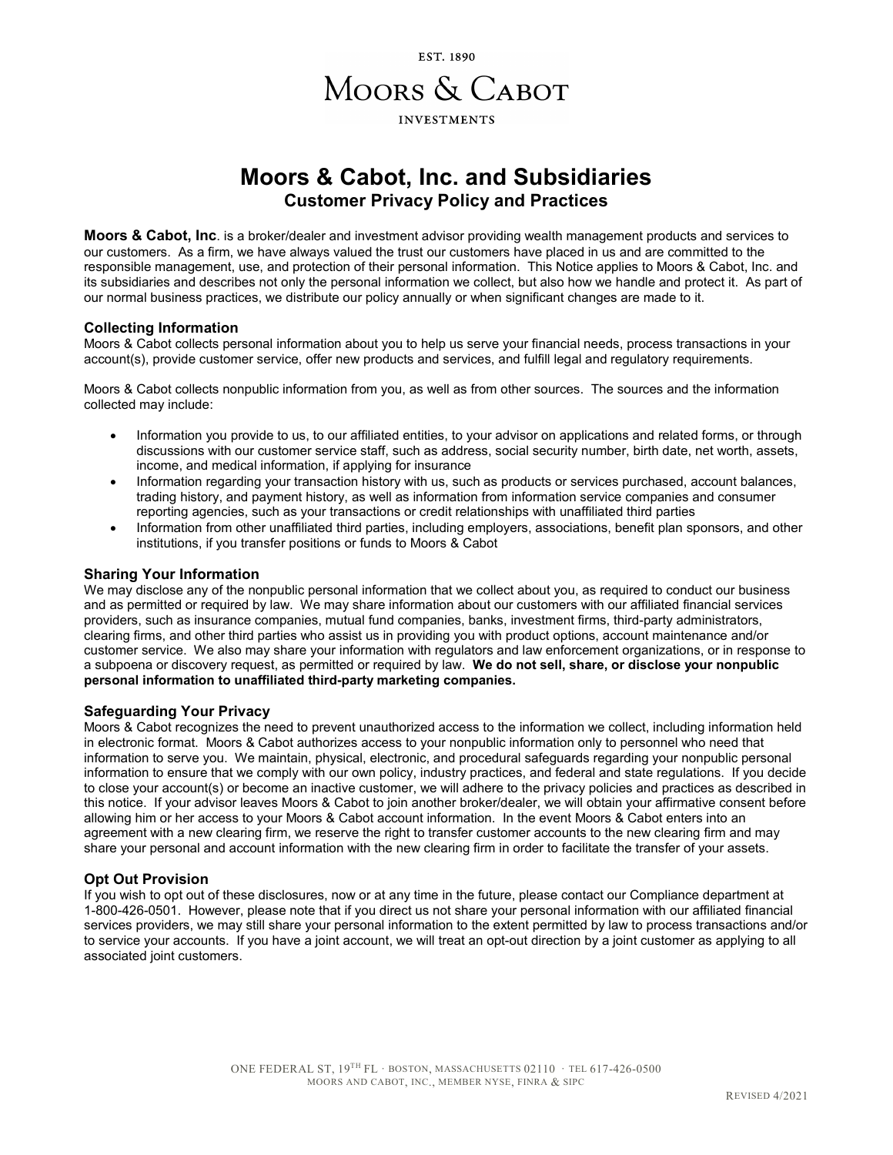

# **Moors & Cabot, Inc. and Subsidiaries Customer Privacy Policy and Practices**

**Moors & Cabot, Inc**. is a broker/dealer and investment advisor providing wealth management products and services to our customers. As a firm, we have always valued the trust our customers have placed in us and are committed to the responsible management, use, and protection of their personal information. This Notice applies to Moors & Cabot, Inc. and its subsidiaries and describes not only the personal information we collect, but also how we handle and protect it. As part of our normal business practices, we distribute our policy annually or when significant changes are made to it.

# **Collecting Information**

Moors & Cabot collects personal information about you to help us serve your financial needs, process transactions in your account(s), provide customer service, offer new products and services, and fulfill legal and regulatory requirements.

Moors & Cabot collects nonpublic information from you, as well as from other sources. The sources and the information collected may include:

- Information you provide to us, to our affiliated entities, to your advisor on applications and related forms, or through discussions with our customer service staff, such as address, social security number, birth date, net worth, assets, income, and medical information, if applying for insurance
- Information regarding your transaction history with us, such as products or services purchased, account balances, trading history, and payment history, as well as information from information service companies and consumer reporting agencies, such as your transactions or credit relationships with unaffiliated third parties
- Information from other unaffiliated third parties, including employers, associations, benefit plan sponsors, and other institutions, if you transfer positions or funds to Moors & Cabot

#### **Sharing Your Information**

We may disclose any of the nonpublic personal information that we collect about you, as required to conduct our business and as permitted or required by law. We may share information about our customers with our affiliated financial services providers, such as insurance companies, mutual fund companies, banks, investment firms, third-party administrators, clearing firms, and other third parties who assist us in providing you with product options, account maintenance and/or customer service. We also may share your information with regulators and law enforcement organizations, or in response to a subpoena or discovery request, as permitted or required by law. **We do not sell, share, or disclose your nonpublic personal information to unaffiliated third-party marketing companies.** 

#### **Safeguarding Your Privacy**

Moors & Cabot recognizes the need to prevent unauthorized access to the information we collect, including information held in electronic format. Moors & Cabot authorizes access to your nonpublic information only to personnel who need that information to serve you. We maintain, physical, electronic, and procedural safeguards regarding your nonpublic personal information to ensure that we comply with our own policy, industry practices, and federal and state regulations. If you decide to close your account(s) or become an inactive customer, we will adhere to the privacy policies and practices as described in this notice. If your advisor leaves Moors & Cabot to join another broker/dealer, we will obtain your affirmative consent before allowing him or her access to your Moors & Cabot account information. In the event Moors & Cabot enters into an agreement with a new clearing firm, we reserve the right to transfer customer accounts to the new clearing firm and may share your personal and account information with the new clearing firm in order to facilitate the transfer of your assets.

### **Opt Out Provision**

If you wish to opt out of these disclosures, now or at any time in the future, please contact our Compliance department at 1-800-426-0501. However, please note that if you direct us not share your personal information with our affiliated financial services providers, we may still share your personal information to the extent permitted by law to process transactions and/or to service your accounts. If you have a joint account, we will treat an opt-out direction by a joint customer as applying to all associated joint customers.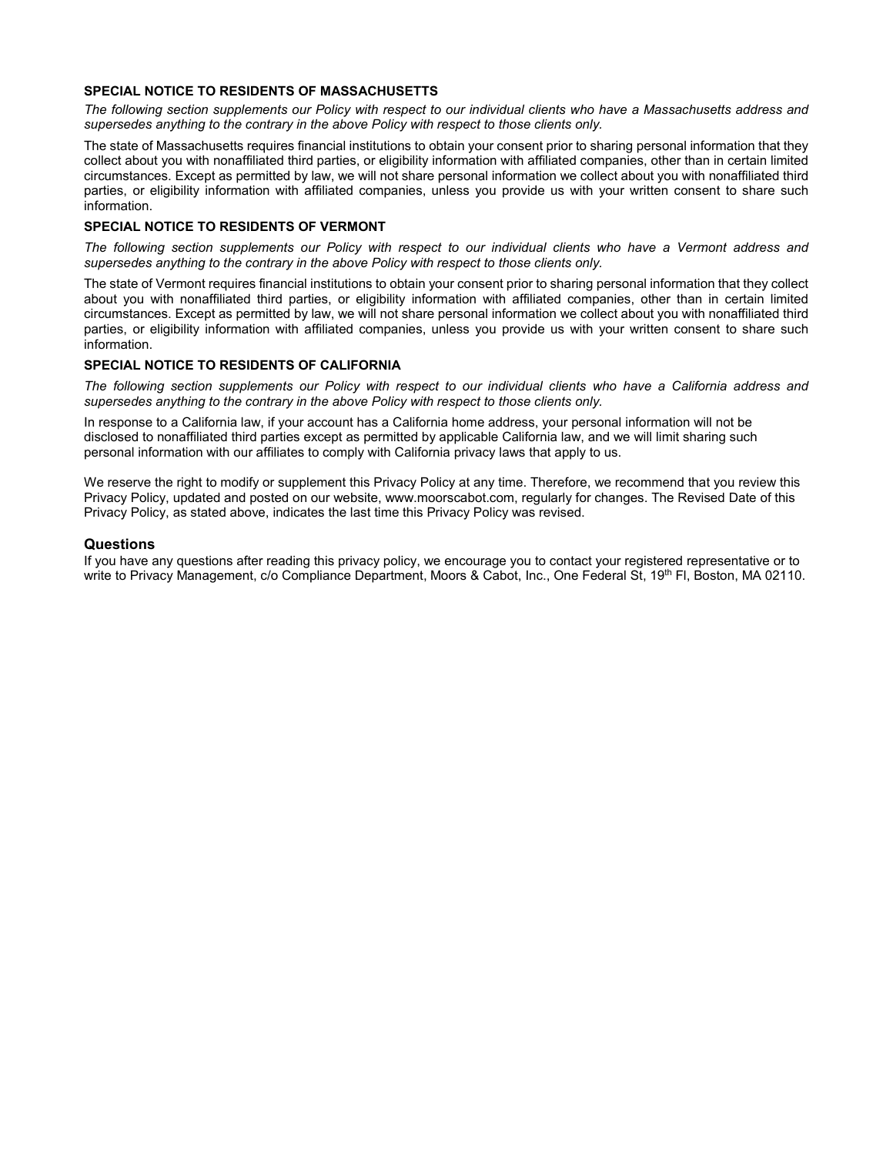# **SPECIAL NOTICE TO RESIDENTS OF MASSACHUSETTS**

*The following section supplements our Policy with respect to our individual clients who have a Massachusetts address and supersedes anything to the contrary in the above Policy with respect to those clients only.*

The state of Massachusetts requires financial institutions to obtain your consent prior to sharing personal information that they collect about you with nonaffiliated third parties, or eligibility information with affiliated companies, other than in certain limited circumstances. Except as permitted by law, we will not share personal information we collect about you with nonaffiliated third parties, or eligibility information with affiliated companies, unless you provide us with your written consent to share such information.

### **SPECIAL NOTICE TO RESIDENTS OF VERMONT**

*The following section supplements our Policy with respect to our individual clients who have a Vermont address and supersedes anything to the contrary in the above Policy with respect to those clients only.*

The state of Vermont requires financial institutions to obtain your consent prior to sharing personal information that they collect about you with nonaffiliated third parties, or eligibility information with affiliated companies, other than in certain limited circumstances. Except as permitted by law, we will not share personal information we collect about you with nonaffiliated third parties, or eligibility information with affiliated companies, unless you provide us with your written consent to share such information.

# **SPECIAL NOTICE TO RESIDENTS OF CALIFORNIA**

*The following section supplements our Policy with respect to our individual clients who have a California address and supersedes anything to the contrary in the above Policy with respect to those clients only.*

In response to a California law, if your account has a California home address, your personal information will not be disclosed to nonaffiliated third parties except as permitted by applicable California law, and we will limit sharing such personal information with our affiliates to comply with California privacy laws that apply to us.

We reserve the right to modify or supplement this Privacy Policy at any time. Therefore, we recommend that you review this Privacy Policy, updated and posted on our website, www.moorscabot.com, regularly for changes. The Revised Date of this Privacy Policy, as stated above, indicates the last time this Privacy Policy was revised.

### **Questions**

If you have any questions after reading this privacy policy, we encourage you to contact your registered representative or to write to Privacy Management, c/o Compliance Department, Moors & Cabot, Inc., One Federal St, 19<sup>th</sup> Fl, Boston, MA 02110.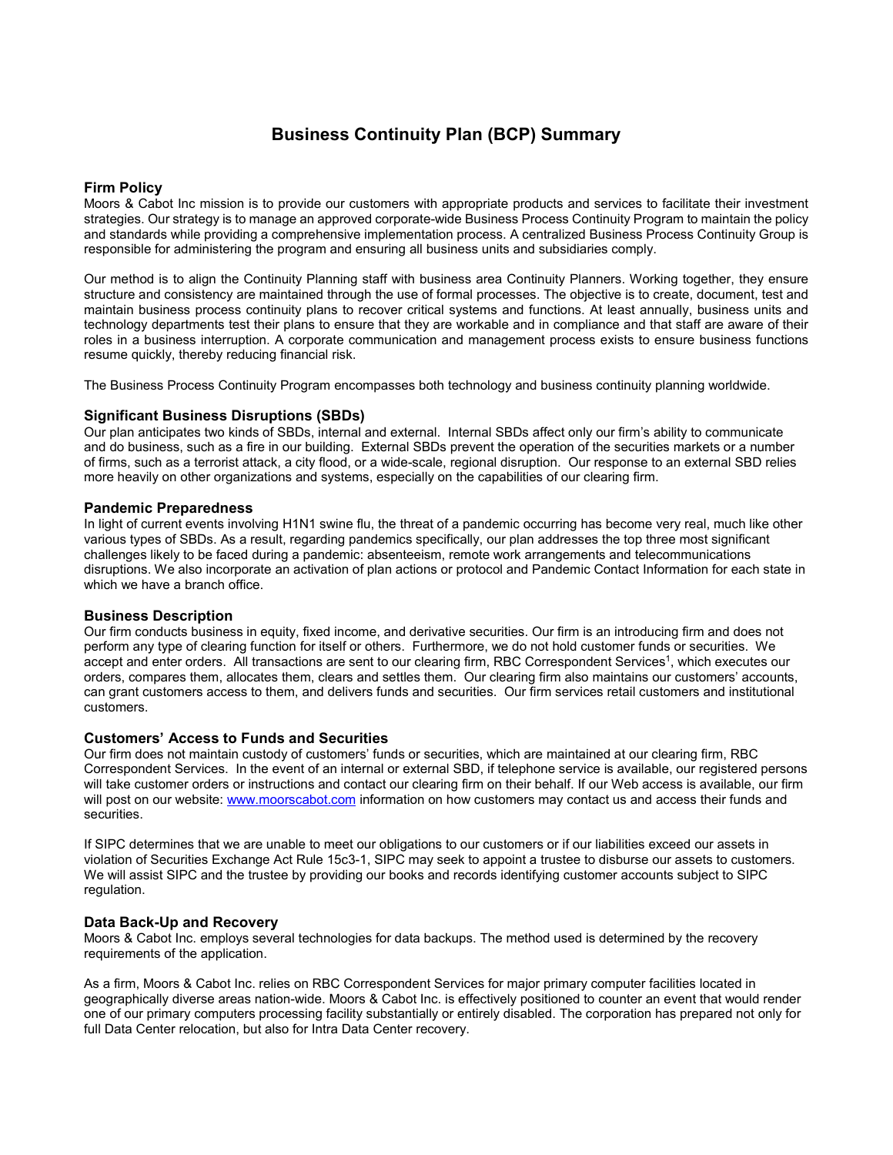# **Business Continuity Plan (BCP) Summary**

# **Firm Policy**

Moors & Cabot Inc mission is to provide our customers with appropriate products and services to facilitate their investment strategies. Our strategy is to manage an approved corporate-wide Business Process Continuity Program to maintain the policy and standards while providing a comprehensive implementation process. A centralized Business Process Continuity Group is responsible for administering the program and ensuring all business units and subsidiaries comply.

Our method is to align the Continuity Planning staff with business area Continuity Planners. Working together, they ensure structure and consistency are maintained through the use of formal processes. The objective is to create, document, test and maintain business process continuity plans to recover critical systems and functions. At least annually, business units and technology departments test their plans to ensure that they are workable and in compliance and that staff are aware of their roles in a business interruption. A corporate communication and management process exists to ensure business functions resume quickly, thereby reducing financial risk.

The Business Process Continuity Program encompasses both technology and business continuity planning worldwide.

### **Significant Business Disruptions (SBDs)**

Our plan anticipates two kinds of SBDs, internal and external. Internal SBDs affect only our firm's ability to communicate and do business, such as a fire in our building. External SBDs prevent the operation of the securities markets or a number of firms, such as a terrorist attack, a city flood, or a wide-scale, regional disruption. Our response to an external SBD relies more heavily on other organizations and systems, especially on the capabilities of our clearing firm.

### **Pandemic Preparedness**

In light of current events involving H1N1 swine flu, the threat of a pandemic occurring has become very real, much like other various types of SBDs. As a result, regarding pandemics specifically, our plan addresses the top three most significant challenges likely to be faced during a pandemic: absenteeism, remote work arrangements and telecommunications disruptions. We also incorporate an activation of plan actions or protocol and Pandemic Contact Information for each state in which we have a branch office.

### **Business Description**

Our firm conducts business in equity, fixed income, and derivative securities. Our firm is an introducing firm and does not perform any type of clearing function for itself or others. Furthermore, we do not hold customer funds or securities. We accept and enter orders. All transactions are sent to our clearing firm, RBC Correspondent Services<sup>1</sup>, which executes our orders, compares them, allocates them, clears and settles them. Our clearing firm also maintains our customers' accounts, can grant customers access to them, and delivers funds and securities. Our firm services retail customers and institutional customers.

# **Customers' Access to Funds and Securities**

Our firm does not maintain custody of customers' funds or securities, which are maintained at our clearing firm, RBC Correspondent Services. In the event of an internal or external SBD, if telephone service is available, our registered persons will take customer orders or instructions and contact our clearing firm on their behalf. If our Web access is available, our firm will post on our website[: www.moorscabot.com](http://www.moorscabot.com/) information on how customers may contact us and access their funds and securities.

If SIPC determines that we are unable to meet our obligations to our customers or if our liabilities exceed our assets in violation of Securities Exchange Act Rule 15c3-1, SIPC may seek to appoint a trustee to disburse our assets to customers. We will assist SIPC and the trustee by providing our books and records identifying customer accounts subject to SIPC regulation.

### **Data Back-Up and Recovery**

Moors & Cabot Inc. employs several technologies for data backups. The method used is determined by the recovery requirements of the application.

As a firm, Moors & Cabot Inc. relies on RBC Correspondent Services for major primary computer facilities located in geographically diverse areas nation-wide. Moors & Cabot Inc. is effectively positioned to counter an event that would render one of our primary computers processing facility substantially or entirely disabled. The corporation has prepared not only for full Data Center relocation, but also for Intra Data Center recovery.